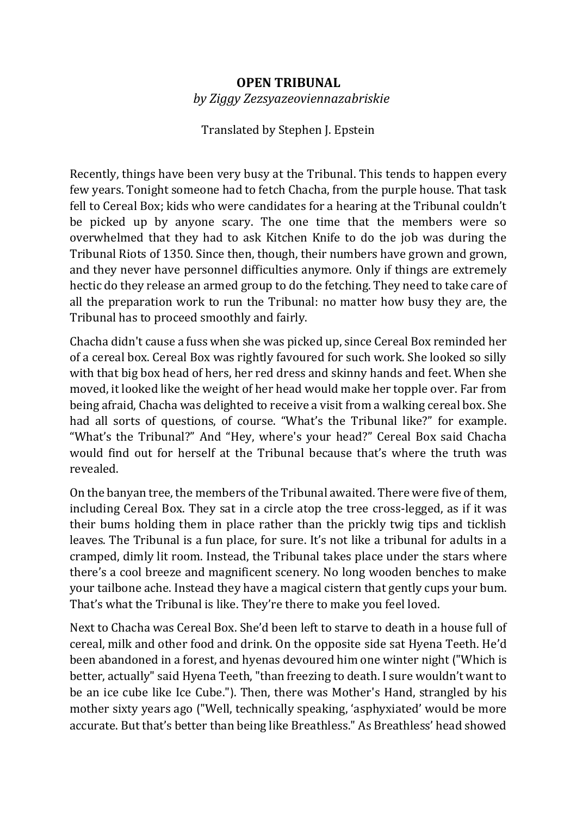## **OPEN TRIBUNAL**  *by Ziggy Zezsyazeoviennazabriskie*

## Translated by Stephen J. Epstein

Recently, things have been very busy at the Tribunal. This tends to happen every few years. Tonight someone had to fetch Chacha, from the purple house. That task fell to Cereal Box; kids who were candidates for a hearing at the Tribunal couldn't be picked up by anyone scary. The one time that the members were so overwhelmed that they had to ask Kitchen Knife to do the job was during the Tribunal Riots of 1350. Since then, though, their numbers have grown and grown, and they never have personnel difficulties anymore. Only if things are extremely hectic do they release an armed group to do the fetching. They need to take care of all the preparation work to run the Tribunal: no matter how busy they are, the Tribunal has to proceed smoothly and fairly.

Chacha didn't cause a fuss when she was picked up, since Cereal Box reminded her of a cereal box. Cereal Box was rightly favoured for such work. She looked so silly with that big box head of hers, her red dress and skinny hands and feet. When she moved, it looked like the weight of her head would make her topple over. Far from being afraid, Chacha was delighted to receive a visit from a walking cereal box. She had all sorts of questions, of course. "What's the Tribunal like?" for example. "What's the Tribunal?" And "Hey, where's your head?" Cereal Box said Chacha would find out for herself at the Tribunal because that's where the truth was revealed.

On the banyan tree, the members of the Tribunal awaited. There were five of them, including Cereal Box. They sat in a circle atop the tree cross-legged, as if it was their bums holding them in place rather than the prickly twig tips and ticklish leaves. The Tribunal is a fun place, for sure. It's not like a tribunal for adults in a cramped, dimly lit room. Instead, the Tribunal takes place under the stars where there's a cool breeze and magnificent scenery. No long wooden benches to make your tailbone ache. Instead they have a magical cistern that gently cups your bum. That's what the Tribunal is like. They're there to make you feel loved.

Next to Chacha was Cereal Box. She'd been left to starve to death in a house full of cereal, milk and other food and drink. On the opposite side sat Hyena Teeth. He'd been abandoned in a forest, and hyenas devoured him one winter night ("Which is better, actually" said Hyena Teeth, "than freezing to death. I sure wouldn't want to be an ice cube like Ice Cube."). Then, there was Mother's Hand, strangled by his mother sixty years ago ("Well, technically speaking, 'asphyxiated' would be more accurate. But that's better than being like Breathless." As Breathless' head showed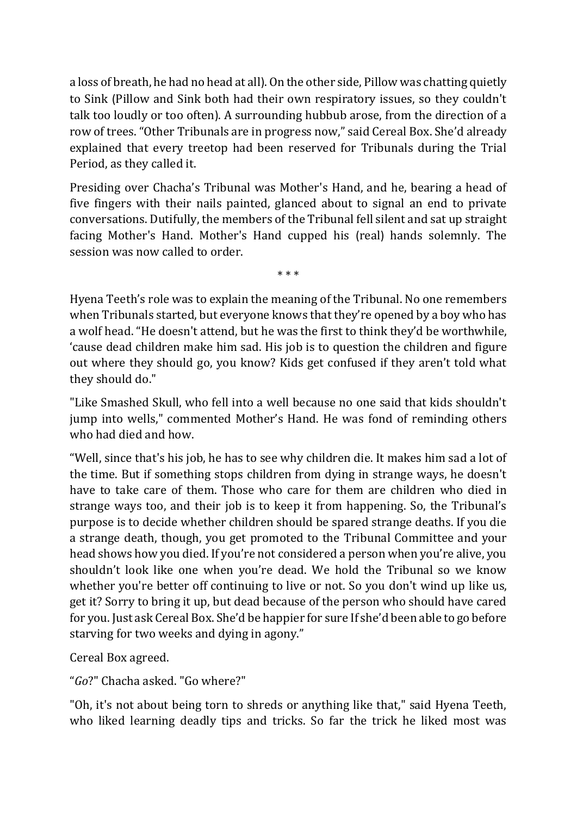a loss of breath, he had no head at all). On the other side, Pillow was chatting quietly to Sink (Pillow and Sink both had their own respiratory issues, so they couldn't talk too loudly or too often). A surrounding hubbub arose, from the direction of a row of trees. "Other Tribunals are in progress now," said Cereal Box. She'd already explained that every treetop had been reserved for Tribunals during the Trial Period, as they called it.

Presiding over Chacha's Tribunal was Mother's Hand, and he, bearing a head of five fingers with their nails painted, glanced about to signal an end to private conversations. Dutifully, the members of the Tribunal fell silent and sat up straight facing Mother's Hand. Mother's Hand cupped his (real) hands solemnly. The session was now called to order.

\* \* \*

Hyena Teeth's role was to explain the meaning of the Tribunal. No one remembers when Tribunals started, but everyone knows that they're opened by a boy who has a wolf head. "He doesn't attend, but he was the first to think they'd be worthwhile, 'cause dead children make him sad. His job is to question the children and figure out where they should go, you know? Kids get confused if they aren't told what they should do."

"Like Smashed Skull, who fell into a well because no one said that kids shouldn't jump into wells," commented Mother's Hand. He was fond of reminding others who had died and how.

"Well, since that's his job, he has to see why children die. It makes him sad a lot of the time. But if something stops children from dying in strange ways, he doesn't have to take care of them. Those who care for them are children who died in strange ways too, and their job is to keep it from happening. So, the Tribunal's purpose is to decide whether children should be spared strange deaths. If you die a strange death, though, you get promoted to the Tribunal Committee and your head shows how you died. If you're not considered a person when you're alive, you shouldn't look like one when you're dead. We hold the Tribunal so we know whether you're better off continuing to live or not. So you don't wind up like us, get it? Sorry to bring it up, but dead because of the person who should have cared for you. Just ask Cereal Box. She'd be happier for sure If she'd been able to go before starving for two weeks and dying in agony."

Cereal Box agreed.

"*Go*?" Chacha asked. "Go where?"

"Oh, it's not about being torn to shreds or anything like that," said Hyena Teeth, who liked learning deadly tips and tricks. So far the trick he liked most was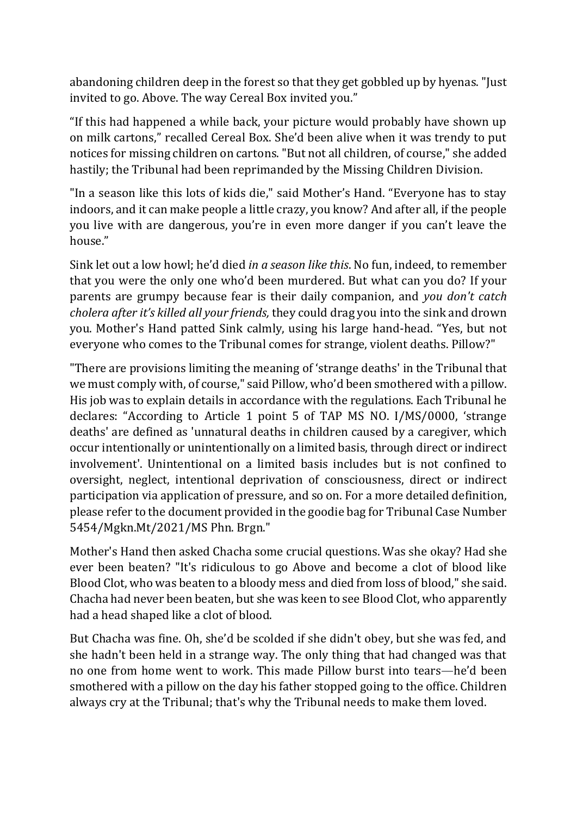abandoning children deep in the forest so that they get gobbled up by hyenas. "Just invited to go. Above. The way Cereal Box invited you."

"If this had happened a while back, your picture would probably have shown up on milk cartons," recalled Cereal Box. She'd been alive when it was trendy to put notices for missing children on cartons. "But not all children, of course," she added hastily; the Tribunal had been reprimanded by the Missing Children Division.

"In a season like this lots of kids die," said Mother's Hand. "Everyone has to stay indoors, and it can make people a little crazy, you know? And after all, if the people you live with are dangerous, you're in even more danger if you can't leave the house."

Sink let out a low howl; he'd died *in a season like this*. No fun, indeed, to remember that you were the only one who'd been murdered. But what can you do? If your parents are grumpy because fear is their daily companion, and *you don't catch cholera after it's killed all your friends,* they could drag you into the sink and drown you. Mother's Hand patted Sink calmly, using his large hand-head. "Yes, but not everyone who comes to the Tribunal comes for strange, violent deaths. Pillow?"

"There are provisions limiting the meaning of 'strange deaths' in the Tribunal that we must comply with, of course," said Pillow, who'd been smothered with a pillow. His job was to explain details in accordance with the regulations. Each Tribunal he declares: "According to Article 1 point 5 of TAP MS NO. I/MS/0000, 'strange deaths' are defined as 'unnatural deaths in children caused by a caregiver, which occur intentionally or unintentionally on a limited basis, through direct or indirect involvement'. Unintentional on a limited basis includes but is not confined to oversight, neglect, intentional deprivation of consciousness, direct or indirect participation via application of pressure, and so on. For a more detailed definition, please refer to the document provided in the goodie bag for Tribunal Case Number 5454/Mgkn.Mt/2021/MS Phn. Brgn."

Mother's Hand then asked Chacha some crucial questions. Was she okay? Had she ever been beaten? "It's ridiculous to go Above and become a clot of blood like Blood Clot, who was beaten to a bloody mess and died from loss of blood," she said. Chacha had never been beaten, but she was keen to see Blood Clot, who apparently had a head shaped like a clot of blood.

But Chacha was fine. Oh, she'd be scolded if she didn't obey, but she was fed, and she hadn't been held in a strange way. The only thing that had changed was that no one from home went to work. This made Pillow burst into tears—he'd been smothered with a pillow on the day his father stopped going to the office. Children always cry at the Tribunal; that's why the Tribunal needs to make them loved.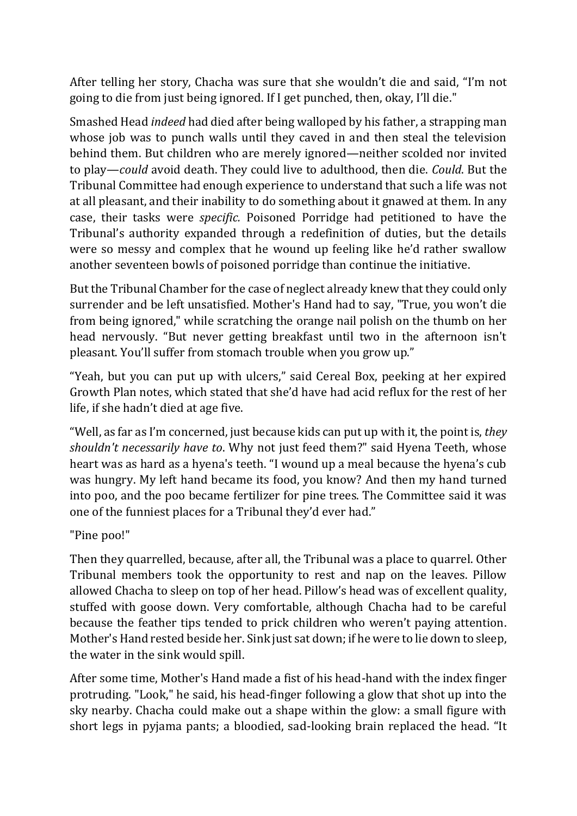After telling her story, Chacha was sure that she wouldn't die and said, "I'm not going to die from just being ignored. If I get punched, then, okay, I'll die."

Smashed Head *indeed* had died after being walloped by his father, a strapping man whose job was to punch walls until they caved in and then steal the television behind them. But children who are merely ignored—neither scolded nor invited to play—*could* avoid death. They could live to adulthood, then die. *Could*. But the Tribunal Committee had enough experience to understand that such a life was not at all pleasant, and their inability to do something about it gnawed at them. In any case, their tasks were *specific.* Poisoned Porridge had petitioned to have the Tribunal's authority expanded through a redefinition of duties, but the details were so messy and complex that he wound up feeling like he'd rather swallow another seventeen bowls of poisoned porridge than continue the initiative.

But the Tribunal Chamber for the case of neglect already knew that they could only surrender and be left unsatisfied. Mother's Hand had to say, "True, you won't die from being ignored," while scratching the orange nail polish on the thumb on her head nervously. "But never getting breakfast until two in the afternoon isn't pleasant. You'll suffer from stomach trouble when you grow up."

"Yeah, but you can put up with ulcers," said Cereal Box, peeking at her expired Growth Plan notes, which stated that she'd have had acid reflux for the rest of her life, if she hadn't died at age five.

"Well, as far as I'm concerned, just because kids can put up with it, the point is, *they shouldn't necessarily have to*. Why not just feed them?" said Hyena Teeth, whose heart was as hard as a hyena's teeth. "I wound up a meal because the hyena's cub was hungry. My left hand became its food, you know? And then my hand turned into poo, and the poo became fertilizer for pine trees. The Committee said it was one of the funniest places for a Tribunal they'd ever had."

"Pine poo!"

Then they quarrelled, because, after all, the Tribunal was a place to quarrel. Other Tribunal members took the opportunity to rest and nap on the leaves. Pillow allowed Chacha to sleep on top of her head. Pillow's head was of excellent quality, stuffed with goose down. Very comfortable, although Chacha had to be careful because the feather tips tended to prick children who weren't paying attention. Mother's Hand rested beside her. Sink just sat down; if he were to lie down to sleep, the water in the sink would spill.

After some time, Mother's Hand made a fist of his head-hand with the index finger protruding. "Look," he said, his head-finger following a glow that shot up into the sky nearby. Chacha could make out a shape within the glow: a small figure with short legs in pyjama pants; a bloodied, sad-looking brain replaced the head. "It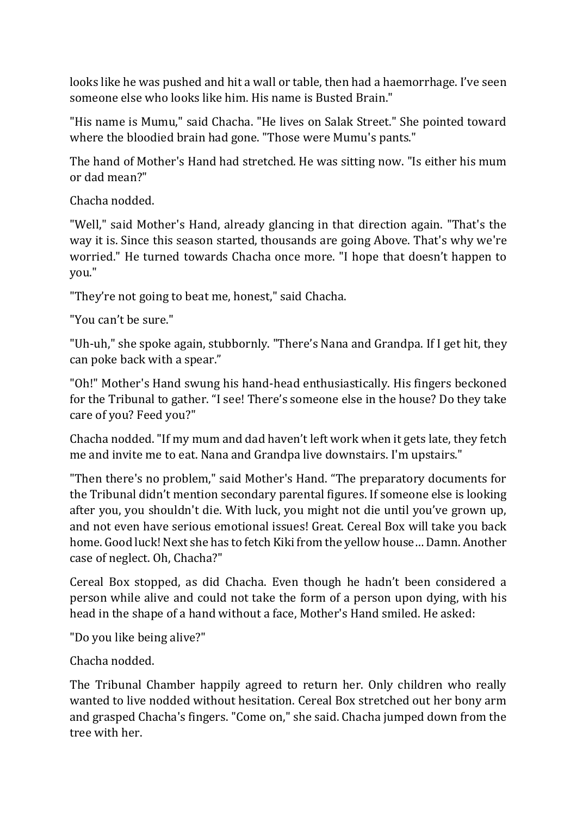looks like he was pushed and hit a wall or table, then had a haemorrhage. I've seen someone else who looks like him. His name is Busted Brain."

"His name is Mumu," said Chacha. "He lives on Salak Street." She pointed toward where the bloodied brain had gone. "Those were Mumu's pants."

The hand of Mother's Hand had stretched. He was sitting now. "Is either his mum or dad mean?"

Chacha nodded.

"Well," said Mother's Hand, already glancing in that direction again. "That's the way it is. Since this season started, thousands are going Above. That's why we're worried." He turned towards Chacha once more. "I hope that doesn't happen to you."

"They're not going to beat me, honest," said Chacha.

"You can't be sure."

"Uh-uh," she spoke again, stubbornly. "There's Nana and Grandpa. If I get hit, they can poke back with a spear."

"Oh!" Mother's Hand swung his hand-head enthusiastically. His fingers beckoned for the Tribunal to gather. "I see! There's someone else in the house? Do they take care of you? Feed you?"

Chacha nodded. "If my mum and dad haven't left work when it gets late, they fetch me and invite me to eat. Nana and Grandpa live downstairs. I'm upstairs."

"Then there's no problem," said Mother's Hand. "The preparatory documents for the Tribunal didn't mention secondary parental figures. If someone else is looking after you, you shouldn't die. With luck, you might not die until you've grown up, and not even have serious emotional issues! Great. Cereal Box will take you back home. Good luck! Next she has to fetch Kiki from the yellow house… Damn. Another case of neglect. Oh, Chacha?"

Cereal Box stopped, as did Chacha. Even though he hadn't been considered a person while alive and could not take the form of a person upon dying, with his head in the shape of a hand without a face, Mother's Hand smiled. He asked:

"Do you like being alive?"

Chacha nodded.

The Tribunal Chamber happily agreed to return her. Only children who really wanted to live nodded without hesitation. Cereal Box stretched out her bony arm and grasped Chacha's fingers. "Come on," she said. Chacha jumped down from the tree with her.